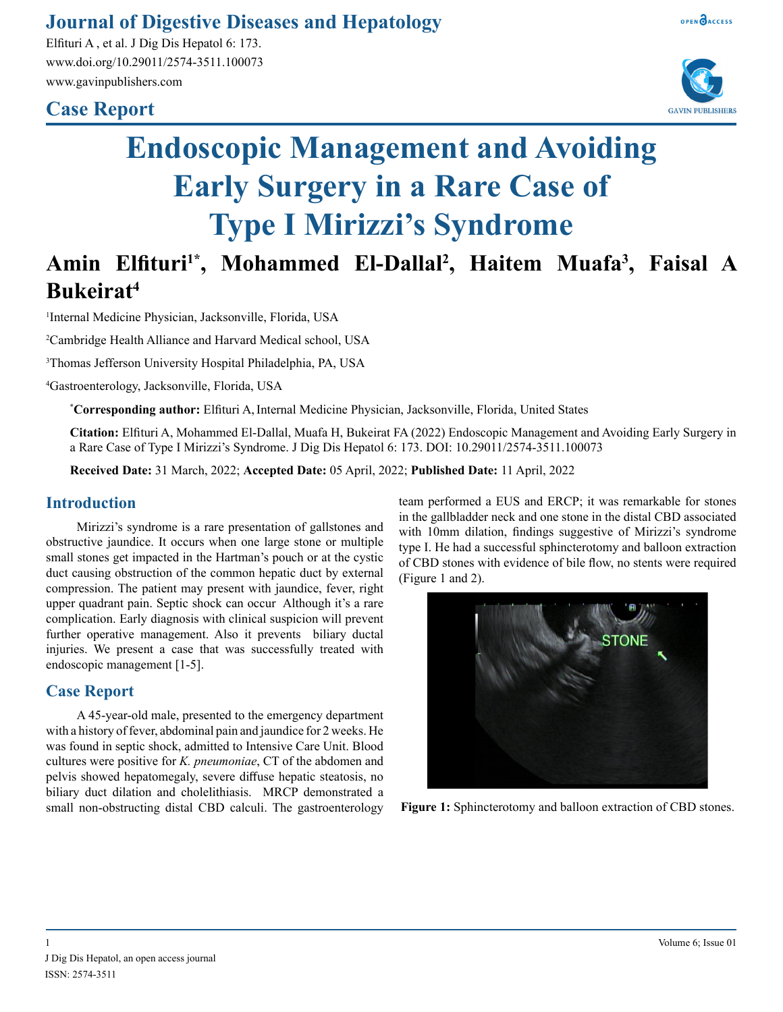### **Journal of Digestive Diseases and Hepatology**

Elfituri A , et al. J Dig Dis Hepatol 6: 173. www.doi.org/10.29011/2574-3511.100073 www.gavinpublishers.com

## **Case Report**





# **Endoscopic Management and Avoiding Early Surgery in a Rare Case of Type I Mirizzi's Syndrome**

# **Amin Elfituri1\*, Mohammed El-Dallal2 , Haitem Muafa3 , Faisal A Bukeirat4**

1 Internal Medicine Physician, Jacksonville, Florida, USA

2 Cambridge Health Alliance and Harvard Medical school, USA

3 Thomas Jefferson University Hospital Philadelphia, PA, USA

4 Gastroenterology, Jacksonville, Florida, USA

**\* Corresponding author:** Elfituri A,Internal Medicine Physician, Jacksonville, Florida, United States

**Citation:** Elfituri A, Mohammed El-Dallal, Muafa H, Bukeirat FA (2022) Endoscopic Management and Avoiding Early Surgery in a Rare Case of Type I Mirizzi's Syndrome. J Dig Dis Hepatol 6: 173. DOI: 10.29011/2574-3511.100073

**Received Date:** 31 March, 2022; **Accepted Date:** 05 April, 2022; **Published Date:** 11 April, 2022

#### **Introduction**

Mirizzi's syndrome is a rare presentation of gallstones and obstructive jaundice. It occurs when one large stone or multiple small stones get impacted in the Hartman's pouch or at the cystic duct causing obstruction of the common hepatic duct by external compression. The patient may present with jaundice, fever, right upper quadrant pain. Septic shock can occur Although it's a rare complication. Early diagnosis with clinical suspicion will prevent further operative management. Also it prevents biliary ductal injuries. We present a case that was successfully treated with endoscopic management [1-5].

#### **Case Report**

A 45-year-old male, presented to the emergency department with a history of fever, abdominal pain and jaundice for 2 weeks. He was found in septic shock, admitted to Intensive Care Unit. Blood cultures were positive for *K. pneumoniae*, CT of the abdomen and pelvis showed hepatomegaly, severe diffuse hepatic steatosis, no biliary duct dilation and cholelithiasis. MRCP demonstrated a small non-obstructing distal CBD calculi. The gastroenterology team performed a EUS and ERCP; it was remarkable for stones in the gallbladder neck and one stone in the distal CBD associated with 10mm dilation, findings suggestive of Mirizzi's syndrome type I. He had a successful sphincterotomy and balloon extraction of CBD stones with evidence of bile flow, no stents were required (Figure 1 and 2).



**Figure 1:** Sphincterotomy and balloon extraction of CBD stones.